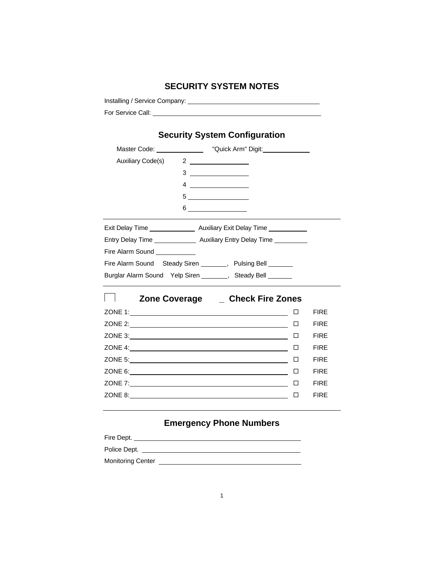# **SECURITY SYSTEM NOTES**

Installing / Service Company:

For Service Call:

|  | <b>Security System Configuration</b> |
|--|--------------------------------------|
|  |                                      |

|                              | Master Code: ___________________ "Quick Arm" Digit: _______________       |        |             |
|------------------------------|---------------------------------------------------------------------------|--------|-------------|
| Auxiliary Code(s)            | $2 \overline{\phantom{a} \phantom{a} \phantom{a}}$                        |        |             |
|                              | $3 \overline{\qquad \qquad }$                                             |        |             |
|                              |                                                                           |        |             |
|                              | $\begin{array}{c} 5 \end{array}$                                          |        |             |
|                              | $6 \overline{\phantom{a}}$                                                |        |             |
|                              |                                                                           |        |             |
|                              | Entry Delay Time _________________ Auxiliary Entry Delay Time ___________ |        |             |
| Fire Alarm Sound ___________ |                                                                           |        |             |
|                              | Fire Alarm Sound Steady Siren _______, Pulsing Bell ______                |        |             |
|                              | Burglar Alarm Sound Yelp Siren _______, Steady Bell ______                |        |             |
|                              | Zone Coverage _____ Check Fire Zones                                      |        |             |
|                              |                                                                           |        | <b>FIRE</b> |
|                              |                                                                           |        | <b>FIRE</b> |
|                              |                                                                           | □      | <b>FIRE</b> |
|                              |                                                                           |        | <b>FIRE</b> |
|                              |                                                                           |        | <b>FIRE</b> |
|                              |                                                                           | $\Box$ | <b>FIRE</b> |
|                              |                                                                           |        | <b>FIRE</b> |
|                              | ZONE 8:                                                                   | □      | <b>FIRE</b> |
|                              |                                                                           |        |             |

# **Emergency Phone Numbers**

| Fire Dept.               |  |
|--------------------------|--|
| Police Dept.             |  |
| <b>Monitoring Center</b> |  |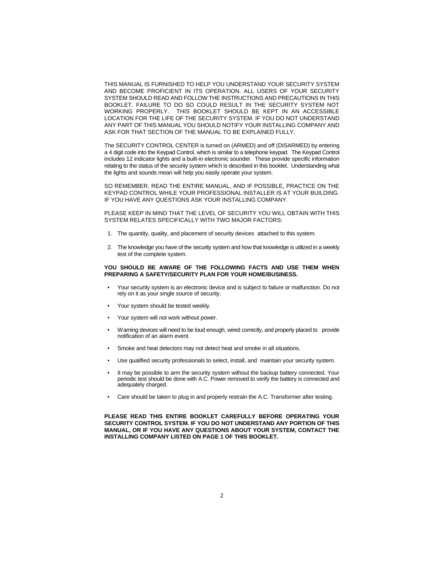THIS MANUAL IS FURNISHED TO HELP YOU UNDERSTAND YOUR SECURITY SYSTEM AND BECOME PROFICIENT IN ITS OPERATION. ALL USERS OF YOUR SECURITY SYSTEM SHOULD READ AND FOLLOW THE INSTRUCTIONS AND PRECAUTIONS IN THIS BOOKLET. FAILURE TO DO SO COULD RESULT IN THE SECURITY SYSTEM NOT WORKING PROPERLY. THIS BOOKLET SHOULD BE KEPT IN AN ACCESSIBLE LOCATION FOR THE LIFE OF THE SECURITY SYSTEM. IF YOU DO NOT UNDERSTAND ANY PART OF THIS MANUAL YOU SHOULD NOTIFY YOUR INSTALLING COMPANY AND ASK FOR THAT SECTION OF THE MANUAL TO BE EXPLAINED FULLY.

The SECURITY CONTROL CENTER is turned on (ARMED) and off (DISARMED) by entering a 4 digit code into the Keypad Control, which is similar to a telephone keypad. The Keypad Control includes 12 indicator lights and a built-in electronic sounder. These provide specific information relating to the status of the security system which is described in this booklet. Understanding what the lights and sounds mean will help you easily operate your system.

SO REMEMBER, READ THE ENTIRE MANUAL, AND IF POSSIBLE, PRACTICE ON THE KEYPAD CONTROL WHILE YOUR PROFESSIONAL INSTALLER IS AT YOUR BUILDING. IF YOU HAVE ANY QUESTIONS ASK YOUR INSTALLING COMPANY.

PLEASE KEEP IN MIND THAT THE LEVEL OF SECURITY YOU WILL OBTAIN WITH THIS SYSTEM RELATES SPECIFICALLY WITH TWO MAJOR FACTORS:

- 1. The quantity, quality, and placement of security devices attached to this system.
- 2. The knowledge you have of the security system and how that knowledge is utilized in a weekly test of the complete system.

#### **YOU SHOULD BE AWARE OF THE FOLLOWING FACTS AND USE THEM WHEN PREPARING A SAFETY/SECURITY PLAN FOR YOUR HOME/BUSINESS.**

- Your security system is an electronic device and is subject to failure or malfunction. Do not rely on it as your single source of security.
- Your system should be tested weekly.
- Your system will not work without power.
- Warning devices will need to be loud enough, wired correctly, and properly placed to provide notification of an alarm event.
- Smoke and heat detectors may not detect heat and smoke in all situations.
- Use qualified security professionals to select, install, and maintain your security system.
- It may be possible to arm the security system without the backup battery connected. Your periodic test should be done with A.C. Power removed to verify the battery is connected and adequately charged.
- Care should be taken to plug in and properly restrain the A.C. Transformer after testing.

**PLEASE READ THIS ENTIRE BOOKLET CAREFULLY BEFORE OPERATING YOUR SECURITY CONTROL SYSTEM. IF YOU DO NOT UNDERSTAND ANY PORTION OF THIS MANUAL, OR IF YOU HAVE ANY QUESTIONS ABOUT YOUR SYSTEM, CONTACT THE INSTALLING COMPANY LISTED ON PAGE 1 OF THIS BOOKLET.**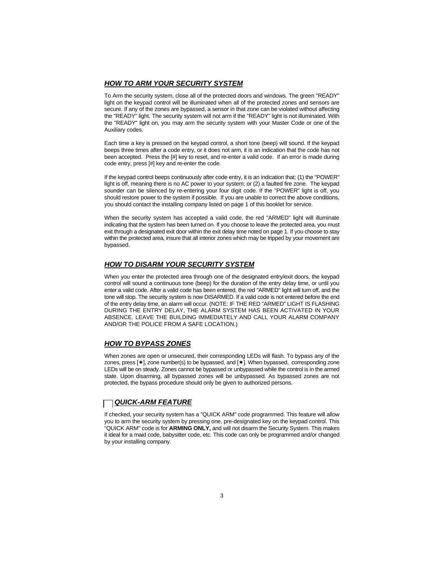#### *HOW TO ARM YOUR SECURITY SYSTEM*

To Arm the security system, close all of the protected doors and windows. The green "READY" light on the keypad control will be illuminated when all of the protected zones and sensors are secure. If any of the zones are bypassed, a sensor in that zone can be violated without affecting the "READY" light. The security system will not arm if the "READY" light is not illuminated. With the "READY" light on, you may arm the security system with your Master Code or one of the Auxiliary codes.

Each time a key is pressed on the keypad control, a short tone (beep) will sound. If the keypad beeps three times after a code entry, or it does not arm, it is an indication that the code has not been accepted. Press the [#] key to reset, and re-enter a valid code. If an error is made during code entry, press [#] key and re-enter the code.

If the keypad control beeps continuously after code entry, it is an indication that; (1) the "POWER" light is off, meaning there is no AC power to your system; or (2) a faulted fire zone. The keypad sounder can be silenced by re-entering your four digit code. If the "POWER" light is off, you should restore power to the system if possible. If you are unable to correct the above conditions, you should contact the installing company listed on page 1 of this booklet for service.

When the security system has accepted a valid code, the red "ARMED" light will illuminate indicating that the system has been turned on. If you choose to leave the protected area, you must exit through a designated exit door within the exit delay time noted on page 1. If you choose to stay within the protected area, insure that all interior zones which may be tripped by your movement are bypassed.

## *HOW TO DISARM YOUR SECURITY SYSTEM*

When you enter the protected area through one of the designated entry/exit doors, the keypad control will sound a continuous tone (beep) for the duration of the entry delay time, or until you enter a valid code. After a valid code has been entered, the red "ARMED" light will turn off, and the tone will stop. The security system is now DISARMED. If a valid code is not entered before the end of the entry delay time, an alarm will occur. (NOTE: IF THE RED "ARMED" LIGHT IS FLASHING DURING THE ENTRY DELAY, THE ALARM SYSTEM HAS BEEN ACTIVATED IN YOUR ABSENCE. LEAVE THE BUILDING IMMEDIATELY AND CALL YOUR ALARM COMPANY AND/OR THE POLICE FROM A SAFE LOCATION.)

## *HOW TO BYPASS ZONES*

When zones are open or unsecured, their corresponding LEDs will flash. To bypass any of the zones, press  $[\ast]$ , zone number(s) to be bypassed, and  $[\ast]$ . When bypassed, corresponding zone LEDs will be on steady. Zones cannot be bypassed or unbypassed while the control is in the armed state. Upon disarming, all bypassed zones will be unbypassed. As bypassed zones are not protected, the bypass procedure should only be given to authorized persons.

## *QUICK-ARM FEATURE*

If checked, your security system has a "QUICK ARM" code programmed. This feature will allow you to arm the security system by pressing one, pre-designated key on the keypad control. This "QUICK ARM" code is for **ARMING ONLY,** and will not disarm the Security System. This makes it ideal for a maid code, babysitter code, etc. This code can only be programmed and/or changed by your installing company.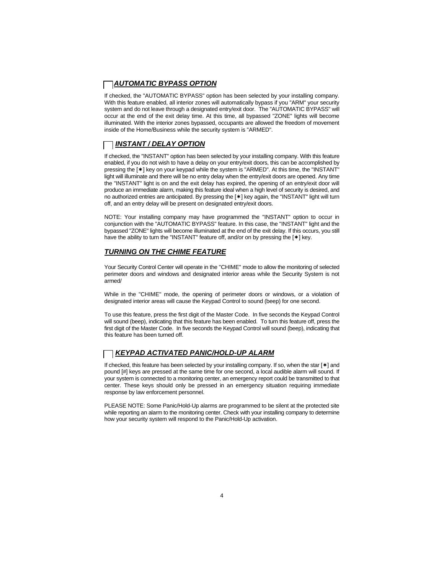## *AUTOMATIC BYPASS OPTION*

If checked, the "AUTOMATIC BYPASS" option has been selected by your installing company. With this feature enabled, all interior zones will automatically bypass if you "ARM" your security system and do not leave through a designated entry/exit door. The "AUTOMATIC BYPASS" will occur at the end of the exit delay time. At this time, all bypassed "ZONE" lights will become illuminated. With the interior zones bypassed, occupants are allowed the freedom of movement inside of the Home/Business while the security system is "ARMED".

## *INSTANT / DELAY OPTION*

If checked, the "INSTANT" option has been selected by your installing company. With this feature enabled, if you do not wish to have a delay on your entry/exit doors, this can be accomplished by pressing the  $[\ast]$  key on your keypad while the system is "ARMED". At this time, the "INSTANT" light will illuminate and there will be no entry delay when the entry/exit doors are opened. Any time the "INSTANT" light is on and the exit delay has expired, the opening of an entry/exit door will produce an immediate alarm, making this feature ideal when a high level of security is desired, and no authorized entries are anticipated. By pressing the  $[*]$  key again, the "INSTANT" light will turn off, and an entry delay will be present on designated entry/exit doors.

NOTE: Your installing company may have programmed the "INSTANT" option to occur in conjunction with the "AUTOMATIC BYPASS" feature. In this case, the "INSTANT" light and the bypassed "ZONE" lights will become illuminated at the end of the exit delay. If this occurs, you still have the ability to turn the "INSTANT" feature off, and/or on by pressing the  $[\ast]$  key.

#### *TURNING ON THE CHIME FEATURE*

Your Security Control Center will operate in the "CHIME" mode to allow the monitoring of selected perimeter doors and windows and designated interior areas while the Security System is not armed/

While in the "CHIME" mode, the opening of perimeter doors or windows, or a violation of designated interior areas will cause the Keypad Control to sound (beep) for one second.

To use this feature, press the first digit of the Master Code. In five seconds the Keypad Control will sound (beep), indicating that this feature has been enabled. To turn this feature off, press the first digit of the Master Code. In five seconds the Keypad Control will sound (beep), indicating that this feature has been turned off.

## *KEYPAD ACTIVATED PANIC/HOLD-UP ALARM*

If checked, this feature has been selected by your installing company. If so, when the star  $[*]$  and pound [#] keys are pressed at the same time for one second, a local audible alarm will sound. If your system is connected to a monitoring center, an emergency report could be transmitted to that center. These keys should only be pressed in an emergency situation requiring immediate response by law enforcement personnel.

PLEASE NOTE: Some Panic/Hold-Up alarms are programmed to be silent at the protected site while reporting an alarm to the monitoring center. Check with your installing company to determine how your security system will respond to the Panic/Hold-Up activation.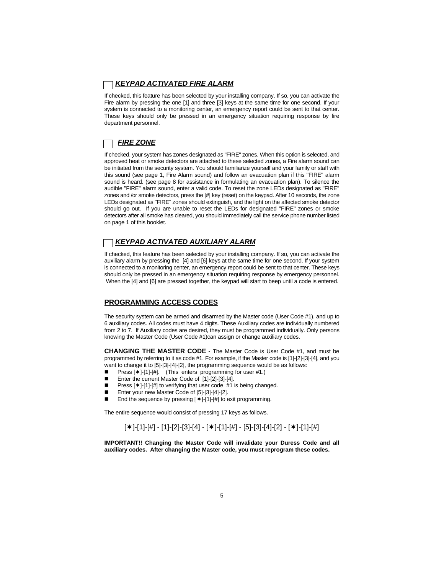## *KEYPAD ACTIVATED FIRE ALARM*

If checked, this feature has been selected by your installing company. If so, you can activate the Fire alarm by pressing the one [1] and three [3] keys at the same time for one second. If your system is connected to a monitoring center, an emergency report could be sent to that center. These keys should only be pressed in an emergency situation requiring response by fire department personnel.

## *FIRE ZONE*

If checked, your system has zones designated as "FIRE" zones. When this option is selected, and approved heat or smoke detectors are attached to these selected zones, a Fire alarm sound can be initiated from the security system. You should familiarize yourself and your family or staff with this sound (see page 1, Fire Alarm sound) and follow an evacuation plan if this "FIRE" alarm sound is heard. (see page 8 for assistance in formulating an evacuation plan). To silence the audible "FIRE" alarm sound, enter a valid code. To reset the zone LEDs designated as "FIRE" zones and /or smoke detectors, press the [#] key (reset) on the keypad. After 10 seconds, the zone LEDs designated as "FIRE" zones should extinguish, and the light on the affected smoke detector should go out. If you are unable to reset the LEDs for designated "FIRE" zones or smoke detectors after all smoke has cleared, you should immediately call the service phone number listed on page 1 of this booklet.

## *KEYPAD ACTIVATED AUXILIARY ALARM*

If checked, this feature has been selected by your installing company. If so, you can activate the auxiliary alarm by pressing the [4] and [6] keys at the same time for one second. If your system is connected to a monitoring center, an emergency report could be sent to that center. These keys should only be pressed in an emergency situation requiring response by emergency personnel. When the [4] and [6] are pressed together, the keypad will start to beep until a code is entered.

#### **PROGRAMMING ACCESS CODES**

The security system can be armed and disarmed by the Master code (User Code #1), and up to 6 auxiliary codes. All codes must have 4 digits. These Auxiliary codes are individually numbered from 2 to 7. If Auxiliary codes are desired, they must be programmed individually. Only persons knowing the Master Code (User Code #1)can assign or change auxiliary codes.

**CHANGING THE MASTER CODE -** The Master Code is User Code #1, and must be programmed by referring to it as code #1. For example, if the Master code is [1]-[2]-[3]-[4], and you want to change it to [5]-[3]-[4]-[2], the programming sequence would be as follows:

- Press  $[ * ]-[1]-[#].$  (This enters programming for user #1.)<br>■ Foter the current Master Code of [11-[21-[31-[4]
- Enter the current Master Code of [1]-[2]-[3]-[4].
- Press  $[\ast]$ -[1]-[#] to verifying that user code #1 is being changed.
- Enter your new Master Code of [5]-[3]-[4]-[2].
- End the sequence by pressing  $[*]-[1]-[#]$  to exit programming.

The entire sequence would consist of pressing 17 keys as follows.

## $\lceil$ \* ]-[1]-[#] - [1]-[2]-[3]-[4] - [\* ]-[1]-[#] - [5]-[3]-[4]-[2] - [\* ]-[1]-[#]

**IMPORTANT!! Changing the Master Code will invalidate your Duress Code and all auxiliary codes. After changing the Master code, you must reprogram these codes.**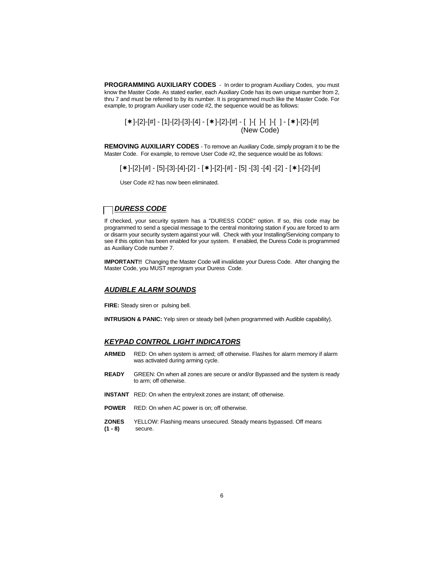**PROGRAMMING AUXILIARY CODES** - In order to program Auxiliary Codes, you must know the Master Code. As stated earlier, each Auxiliary Code has its own unique number from 2, thru 7 and must be referred to by its number. It is programmed much like the Master Code. For example, to program Auxiliary user code #2, the sequence would be as follows:

[\*]-[2]-[#] - [1]-[2]-[3]-[4] - [\*]-[2]-[#] - [ ]-[ ]-[ ]-[ ] - [\*]-[2]-[#] (New Code)

**REMOVING AUXILIARY CODES** - To remove an Auxiliary Code, simply program it to be the Master Code. For example, to remove User Code #2, the sequence would be as follows:

 $\lceil *l$ -[2]-[#] - [5]-[3]-[4]-[2] - [\*]-[2]-[#] - [5] -[3] -[4] -[2] - [\*1-[2]-[#]

User Code #2 has now been eliminated.

#### *DURESS CODE*

If checked, your security system has a "DURESS CODE" option. If so, this code may be programmed to send a special message to the central monitoring station if you are forced to arm or disarm your security system against your will. Check with your Installing/Servicing company to see if this option has been enabled for your system. If enabled, the Duress Code is programmed as Auxiliary Code number 7.

**IMPORTANT!!** Changing the Master Code will invalidate your Duress Code. After changing the Master Code, you MUST reprogram your Duress Code.

#### *AUDIBLE ALARM SOUNDS*

**FIRE:** Steady siren or pulsing bell.

**INTRUSION & PANIC:** Yelp siren or steady bell (when programmed with Audible capability).

#### *KEYPAD CONTROL LIGHT INDICATORS*

- **ARMED** RED: On when system is armed; off otherwise. Flashes for alarm memory if alarm was activated during arming cycle.
- **READY** GREEN: On when all zones are secure or and/or Bypassed and the system is ready to arm; off otherwise.
- **INSTANT** RED: On when the entry/exit zones are instant; off otherwise.
- **POWER** RED: On when AC power is on; off otherwise.
- **ZONES** YELLOW: Flashing means unsecured. Steady means bypassed. Off means <br>(1 8) secure. secure.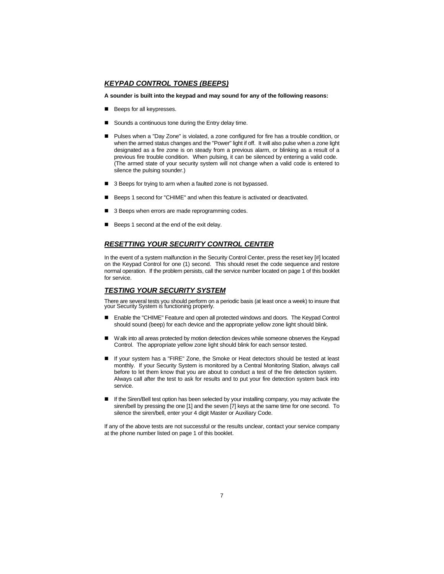#### *KEYPAD CONTROL TONES (BEEPS)*

#### **A sounder is built into the keypad and may sound for any of the following reasons:**

- Beeps for all keypresses.
- $\blacksquare$  Sounds a continuous tone during the Entry delay time.
- Pulses when a "Day Zone" is violated, a zone configured for fire has a trouble condition, or when the armed status changes and the "Power" light if off. It will also pulse when a zone light designated as a fire zone is on steady from a previous alarm, or blinking as a result of a previous fire trouble condition. When pulsing, it can be silenced by entering a valid code. (The armed state of your security system will not change when a valid code is entered to silence the pulsing sounder.)
- 3 Beeps for trying to arm when a faulted zone is not bypassed.
- Beeps 1 second for "CHIME" and when this feature is activated or deactivated.
- 3 Beeps when errors are made reprogramming codes.
- Beeps 1 second at the end of the exit delay.

#### *RESETTING YOUR SECURITY CONTROL CENTER*

In the event of a system malfunction in the Security Control Center, press the reset key [#] located on the Keypad Control for one (1) second. This should reset the code sequence and restore normal operation. If the problem persists, call the service number located on page 1 of this booklet for service.

#### *TESTING YOUR SECURITY SYSTEM*

There are several tests you should perform on a periodic basis (at least once a week) to insure that your Security System is functioning properly.

- Enable the "CHIME" Feature and open all protected windows and doors. The Keypad Control should sound (beep) for each device and the appropriate yellow zone light should blink.
- Walk into all areas protected by motion detection devices while someone observes the Keypad Control. The appropriate yellow zone light should blink for each sensor tested.
- **n** If your system has a "FIRE" Zone, the Smoke or Heat detectors should be tested at least monthly. If your Security System is monitored by a Central Monitoring Station, always call before to let them know that you are about to conduct a test of the fire detection system. Always call after the test to ask for results and to put your fire detection system back into service.
- If the Siren/Bell test option has been selected by your installing company, you may activate the siren/bell by pressing the one [1] and the seven [7] keys at the same time for one second. To silence the siren/bell, enter your 4 digit Master or Auxiliary Code.

If any of the above tests are not successful or the results unclear, contact your service company at the phone number listed on page 1 of this booklet.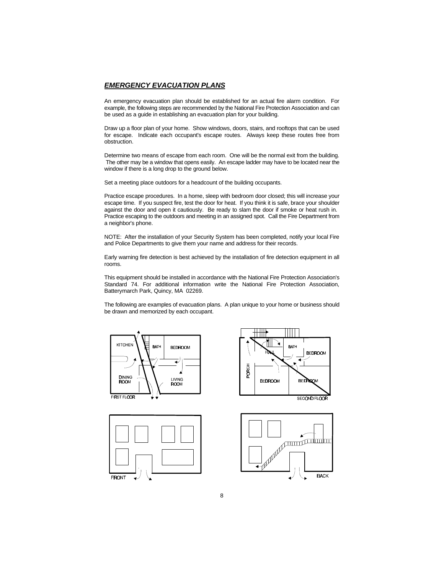#### *EMERGENCY EVACUATION PLANS*

An emergency evacuation plan should be established for an actual fire alarm condition. For example, the following steps are recommended by the National Fire Protection Association and can be used as a guide in establishing an evacuation plan for your building.

Draw up a floor plan of your home. Show windows, doors, stairs, and rooftops that can be used for escape. Indicate each occupant's escape routes. Always keep these routes free from obstruction.

Determine two means of escape from each room. One will be the normal exit from the building. The other may be a window that opens easily. An escape ladder may have to be located near the window if there is a long drop to the ground below.

Set a meeting place outdoors for a headcount of the building occupants.

Practice escape procedures. In a home, sleep with bedroom door closed; this will increase your escape time. If you suspect fire, test the door for heat. If you think it is safe, brace your shoulder against the door and open it cautiously. Be ready to slam the door if smoke or heat rush in. Practice escaping to the outdoors and meeting in an assigned spot. Call the Fire Department from a neighbor's phone.

NOTE: After the installation of your Security System has been completed, notify your local Fire and Police Departments to give them your name and address for their records.

Early warning fire detection is best achieved by the installation of fire detection equipment in all rooms.

This equipment should be installed in accordance with the National Fire Protection Association's Standard 74. For additional information write the National Fire Protection Association, Batterymarch Park, Quincy, MA 02269.

The following are examples of evacuation plans. A plan unique to your home or business should be drawn and memorized by each occupant.



**FRONT** 



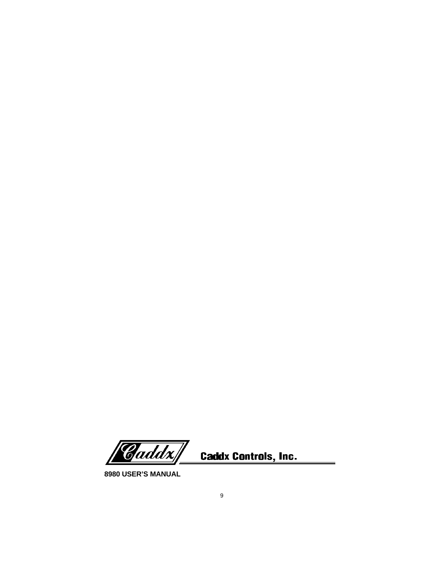Caddx| **Caddx Controls, Inc.** 

**8980 USER'S MANUAL**